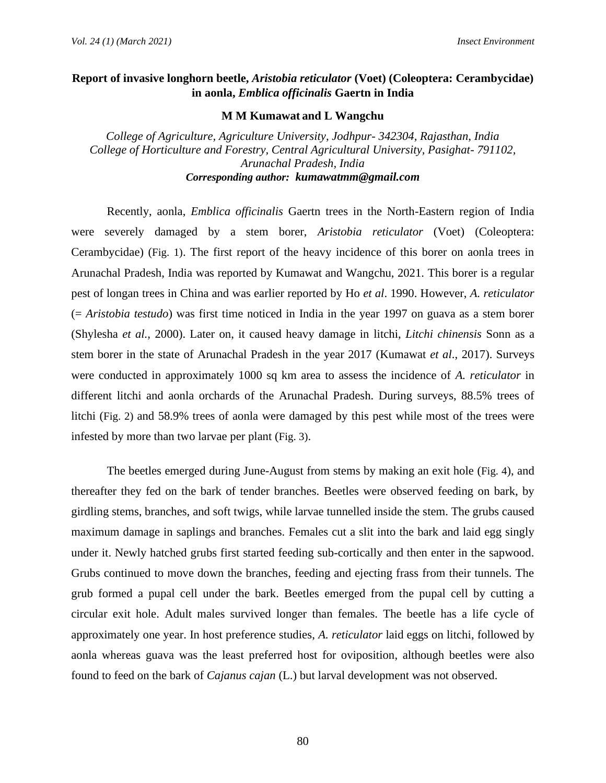## **Report of invasive longhorn beetle,** *Aristobia reticulator* **(Voet) (Coleoptera: Cerambycidae) in aonla,** *Emblica officinalis* **Gaertn in India**

## **M M Kumawat and L Wangchu**

*College of Agriculture, Agriculture University, Jodhpur- 342304, Rajasthan, India College of Horticulture and Forestry, Central Agricultural University, Pasighat- 791102, Arunachal Pradesh, India Corresponding author: kumawatmm@gmail.com* 

Recently, aonla, *Emblica officinalis* Gaertn trees in the North-Eastern region of India were severely damaged by a stem borer, *Aristobia reticulator* (Voet) (Coleoptera: Cerambycidae) (Fig. 1). The first report of the heavy incidence of this borer on aonla trees in Arunachal Pradesh, India was reported by Kumawat and Wangchu, 2021. This borer is a regular pest of longan trees in China and was earlier reported by Ho *et al*. 1990. However, *A. reticulator* (= *Aristobia testudo*) was first time noticed in India in the year 1997 on guava as a stem borer (Shylesha *et al.,* 2000). Later on, it caused heavy damage in litchi, *Litchi chinensis* Sonn as a stem borer in the state of Arunachal Pradesh in the year 2017 (Kumawat *et al*., 2017). Surveys were conducted in approximately 1000 sq km area to assess the incidence of *A. reticulator* in different litchi and aonla orchards of the Arunachal Pradesh. During surveys, 88.5% trees of litchi (Fig. 2) and 58.9% trees of aonla were damaged by this pest while most of the trees were infested by more than two larvae per plant (Fig. 3).

The beetles emerged during June-August from stems by making an exit hole (Fig. 4), and thereafter they fed on the bark of tender branches. Beetles were observed feeding on bark, by girdling stems, branches, and soft twigs, while larvae tunnelled inside the stem. The grubs caused maximum damage in saplings and branches. Females cut a slit into the bark and laid egg singly under it. Newly hatched grubs first started feeding sub-cortically and then enter in the sapwood. Grubs continued to move down the branches, feeding and ejecting frass from their tunnels. The grub formed a pupal cell under the bark. Beetles emerged from the pupal cell by cutting a circular exit hole. Adult males survived longer than females. The beetle has a life cycle of approximately one year. In host preference studies, *A. reticulator* laid eggs on litchi, followed by aonla whereas guava was the least preferred host for oviposition, although beetles were also found to feed on the bark of *Cajanus cajan* (L.) but larval development was not observed.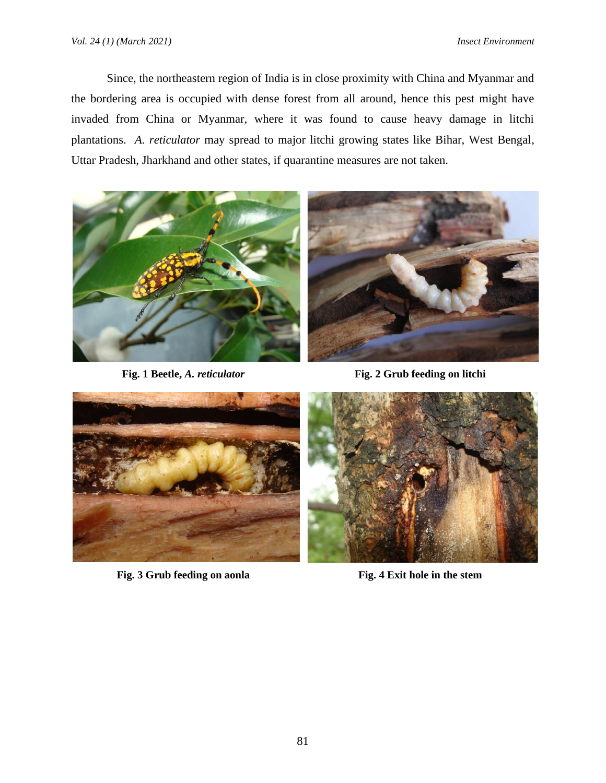Since, the northeastern region of India is in close proximity with China and Myanmar and the bordering area is occupied with dense forest from all around, hence this pest might have invaded from China or Myanmar, where it was found to cause heavy damage in litchi plantations. *A. reticulator* may spread to major litchi growing states like Bihar, West Bengal, Uttar Pradesh, Jharkhand and other states, if quarantine measures are not taken.



**Fig. 1 Beetle,** *A. reticulator* **Fig. 2 Grub feeding on litchi**



**Fig. 3 Grub feeding on aonla Fig. 4 Exit hole in the stem**